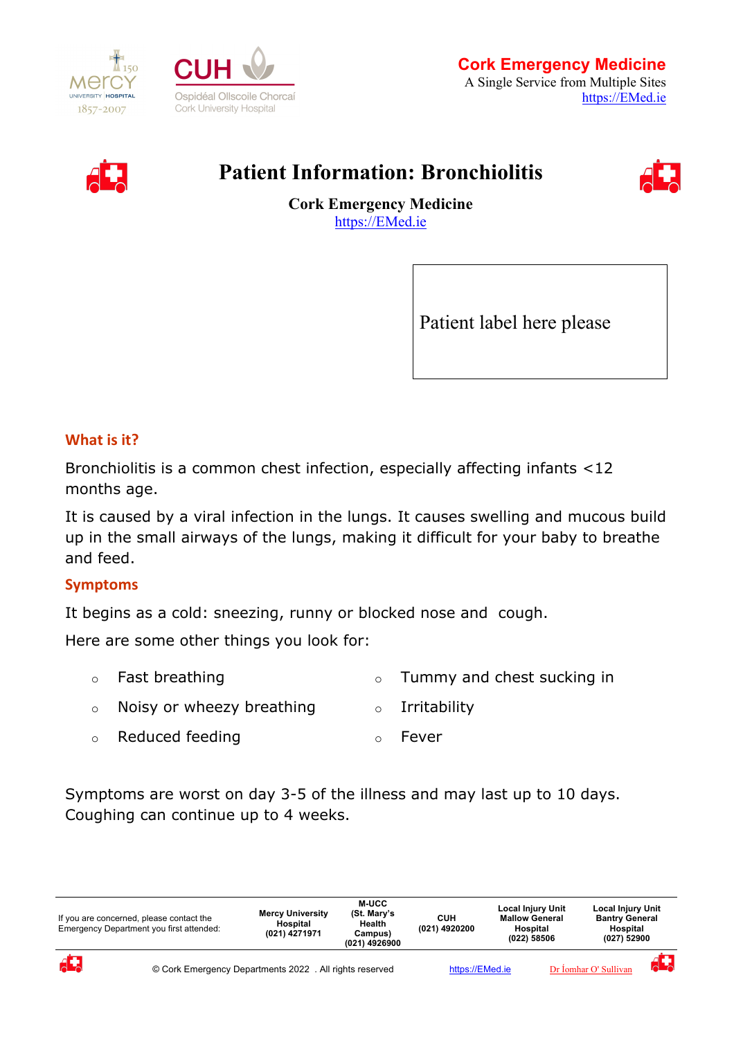





# **Patient Information: Bronchiolitis**



**Cork Emergency Medicine** [https://EMed.ie](https://emed.ie/)

Patient label here please

## **What is it?**

Bronchiolitis is a common chest infection, especially affecting infants <12 months age.

It is caused by a viral infection in the lungs. It causes swelling and mucous build up in the small airways of the lungs, making it difficult for your baby to breathe and feed.

#### **Symptoms**

It begins as a cold: sneezing, runny or blocked nose and cough.

Here are some other things you look for:

- o Fast breathing o Tummy and chest sucking in
- o Noisy or wheezy breathing o Irritability
- o Reduced feeding o Fever

Symptoms are worst on day 3-5 of the illness and may last up to 10 days. Coughing can continue up to 4 weeks.